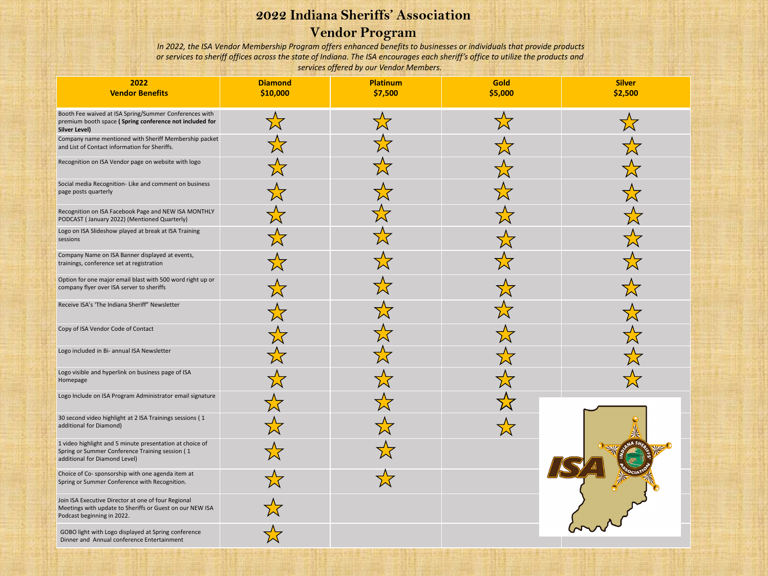# **2022 Indiana Sheriffs' Association**

## **Vendor Program**

*In 2022, the ISA Vendor Membership Program offers enhanced benefits to businesses or individuals that provide products or services to sheriff offices across the state of Indiana. The ISA encourages each sheriff's office to utilize the products and services offered by our Vendor Members.* 

| 2022<br><b>Vendor Benefits</b>                                                                                                                | <b>Diamond</b><br>\$10,000 | <b>Platinum</b><br>\$7,500 | Gold<br>\$5,000 | <b>Silver</b><br>\$2,500 |
|-----------------------------------------------------------------------------------------------------------------------------------------------|----------------------------|----------------------------|-----------------|--------------------------|
| Booth Fee waived at ISA Spring/Summer Conferences with<br>premium booth space (Spring conference not included for<br><b>Silver Level)</b>     |                            |                            |                 |                          |
| Company name mentioned with Sheriff Membership packet<br>and List of Contact information for Sheriffs.                                        |                            |                            |                 |                          |
| Recognition on ISA Vendor page on website with logo                                                                                           |                            |                            |                 |                          |
| Social media Recognition- Like and comment on business<br>page posts quarterly                                                                |                            |                            |                 |                          |
| Recognition on ISA Facebook Page and NEW ISA MONTHLY<br>PODCAST (January 2022) (Mentioned Quarterly)                                          |                            |                            |                 |                          |
| Logo on ISA Slideshow played at break at ISA Training<br>sessions                                                                             |                            |                            |                 |                          |
| Company Name on ISA Banner displayed at events,<br>trainings, conference set at registration                                                  |                            |                            |                 |                          |
| Option for one major email blast with 500 word right up or<br>company flyer over ISA server to sheriffs                                       |                            |                            |                 |                          |
| Receive ISA's 'The Indiana Sheriff" Newsletter                                                                                                |                            |                            |                 |                          |
| Copy of ISA Vendor Code of Contact                                                                                                            |                            |                            |                 |                          |
| Logo included in Bi- annual ISA Newsletter                                                                                                    |                            |                            |                 |                          |
| Logo visible and hyperlink on business page of ISA<br>Homepage                                                                                |                            |                            |                 |                          |
| Logo Include on ISA Program Administrator email signature                                                                                     |                            |                            |                 |                          |
| 30 second video highlight at 2 ISA Trainings sessions (1<br>additional for Diamond)                                                           |                            |                            |                 |                          |
| 1 video highlight and 5 minute presentation at choice of<br>Spring or Summer Conference Training session (1<br>additional for Diamond Level)  |                            |                            |                 |                          |
| Choice of Co-sponsorship with one agenda item at<br>Spring or Summer Conference with Recognition.                                             |                            |                            |                 |                          |
| Join ISA Executive Director at one of four Regional<br>Meetings with update to Sheriffs or Guest on our NEW ISA<br>Podcast beginning in 2022. |                            |                            |                 |                          |
| GOBO light with Logo displayed at Spring conference<br>Dinner and Annual conference Entertainment                                             |                            |                            |                 |                          |